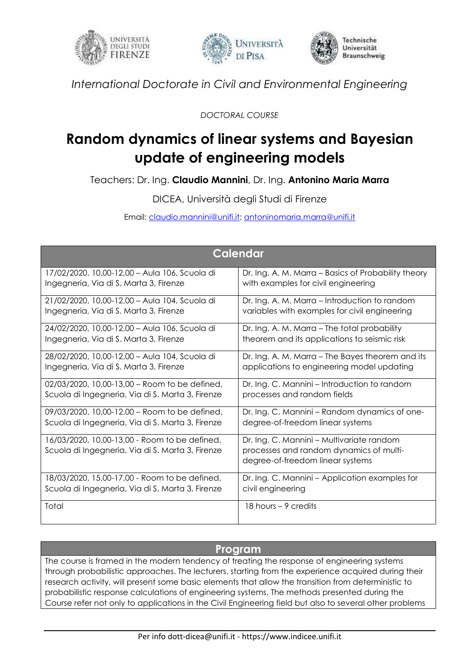





*International Doctorate in Civil and Environmental Engineering*

*DOCTORAL COURSE*

## **Random dynamics of linear systems and Bayesian update of engineering models**

Teachers: Dr. Ing. **Claudio Mannini**, Dr. Ing. **Antonino Maria Marra**

DICEA, Università degli Studi di Firenze

Email: [claudio.mannini@unifi.it;](mailto:claudio.mannini@unifi.it) [antoninomaria.marra@unifi.it](mailto:antoninomaria.marra@unifi.it)

| <b>Calendar</b>                                                                                   |                                                                                                                          |
|---------------------------------------------------------------------------------------------------|--------------------------------------------------------------------------------------------------------------------------|
| 17/02/2020, 10,00-12,00 - Aula 106, Scuola di                                                     | Dr. Ing. A. M. Marra - Basics of Probability theory                                                                      |
| Ingegneria, Via di S. Marta 3, Firenze                                                            | with examples for civil engineering                                                                                      |
| 21/02/2020, 10,00-12,00 - Aula 104, Scuola di                                                     | Dr. Ing. A. M. Marra - Introduction to random                                                                            |
| Ingegneria, Via di S. Marta 3, Firenze                                                            | variables with examples for civil engineering                                                                            |
| 24/02/2020, 10,00-12,00 - Aula 106, Scuola di                                                     | Dr. Ing. A. M. Marra - The total probability                                                                             |
| Ingegneria, Via di S. Marta 3, Firenze                                                            | theorem and its applications to seismic risk                                                                             |
| 28/02/2020, 10,00-12,00 - Aula 104, Scuola di                                                     | Dr. Ing. A. M. Marra - The Bayes theorem and its                                                                         |
| Ingegneria, Via di S. Marta 3, Firenze                                                            | applications to engineering model updating                                                                               |
| 02/03/2020, 10,00-13,00 - Room to be defined,                                                     | Dr. Ing. C. Mannini – Introduction to random                                                                             |
| Scuola di Ingegneria, Via di S. Marta 3, Firenze                                                  | processes and random fields                                                                                              |
| 09/03/2020, 10,00-12,00 - Room to be defined,                                                     | Dr. Ing. C. Mannini - Random dynamics of one-                                                                            |
| Scuola di Ingegneria, Via di S. Marta 3, Firenze                                                  | degree-of-freedom linear systems                                                                                         |
| 16/03/2020, 10,00-13,00 - Room to be defined,<br>Scuola di Ingegneria, Via di S. Marta 3, Firenze | Dr. Ing. C. Mannini - Multivariate random<br>processes and random dynamics of multi-<br>degree-of-freedom linear systems |
| 18/03/2020, 15,00-17,00 - Room to be defined,                                                     | Dr. Ing. C. Mannini - Application examples for                                                                           |
| Scuola di Ingegneria, Via di S. Marta 3, Firenze                                                  | civil engineering                                                                                                        |
| Total                                                                                             | 18 hours $-9$ credits                                                                                                    |

## **Program**

The course is framed in the modern tendency of treating the response of engineering systems through probabilistic approaches. The lecturers, starting from the experience acquired during their research activity, will present some basic elements that allow the transition from deterministic to probabilistic response calculations of engineering systems. The methods presented during the Course refer not only to applications in the Civil Engineering field but also to several other problems